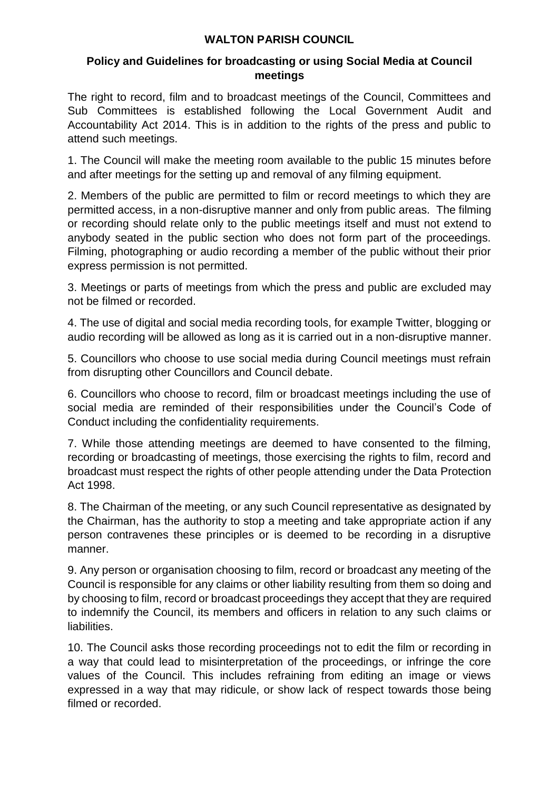## **WALTON PARISH COUNCIL**

## **Policy and Guidelines for broadcasting or using Social Media at Council meetings**

The right to record, film and to broadcast meetings of the Council, Committees and Sub Committees is established following the Local Government Audit and Accountability Act 2014. This is in addition to the rights of the press and public to attend such meetings.

1. The Council will make the meeting room available to the public 15 minutes before and after meetings for the setting up and removal of any filming equipment.

2. Members of the public are permitted to film or record meetings to which they are permitted access, in a non-disruptive manner and only from public areas. The filming or recording should relate only to the public meetings itself and must not extend to anybody seated in the public section who does not form part of the proceedings. Filming, photographing or audio recording a member of the public without their prior express permission is not permitted.

3. Meetings or parts of meetings from which the press and public are excluded may not be filmed or recorded.

4. The use of digital and social media recording tools, for example Twitter, blogging or audio recording will be allowed as long as it is carried out in a non-disruptive manner.

5. Councillors who choose to use social media during Council meetings must refrain from disrupting other Councillors and Council debate.

6. Councillors who choose to record, film or broadcast meetings including the use of social media are reminded of their responsibilities under the Council's Code of Conduct including the confidentiality requirements.

7. While those attending meetings are deemed to have consented to the filming, recording or broadcasting of meetings, those exercising the rights to film, record and broadcast must respect the rights of other people attending under the Data Protection Act 1998.

8. The Chairman of the meeting, or any such Council representative as designated by the Chairman, has the authority to stop a meeting and take appropriate action if any person contravenes these principles or is deemed to be recording in a disruptive manner.

9. Any person or organisation choosing to film, record or broadcast any meeting of the Council is responsible for any claims or other liability resulting from them so doing and by choosing to film, record or broadcast proceedings they accept that they are required to indemnify the Council, its members and officers in relation to any such claims or liabilities.

10. The Council asks those recording proceedings not to edit the film or recording in a way that could lead to misinterpretation of the proceedings, or infringe the core values of the Council. This includes refraining from editing an image or views expressed in a way that may ridicule, or show lack of respect towards those being filmed or recorded.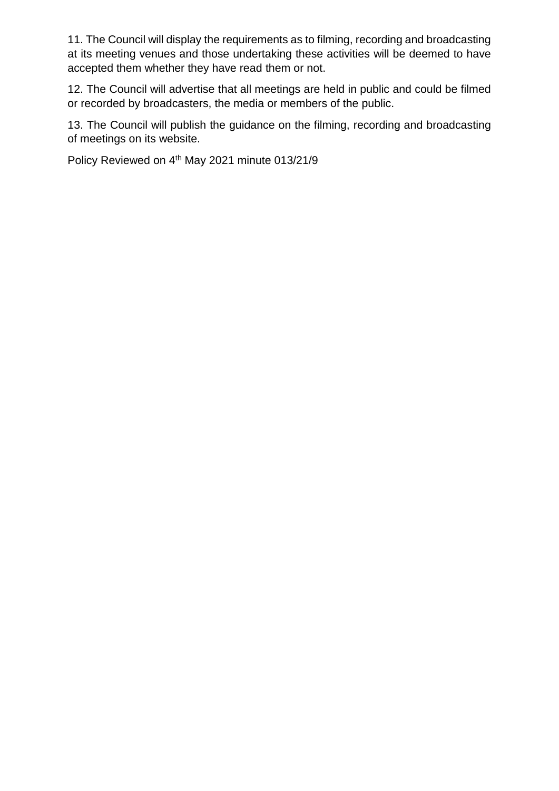11. The Council will display the requirements as to filming, recording and broadcasting at its meeting venues and those undertaking these activities will be deemed to have accepted them whether they have read them or not.

12. The Council will advertise that all meetings are held in public and could be filmed or recorded by broadcasters, the media or members of the public.

13. The Council will publish the guidance on the filming, recording and broadcasting of meetings on its website.

Policy Reviewed on 4<sup>th</sup> May 2021 minute 013/21/9